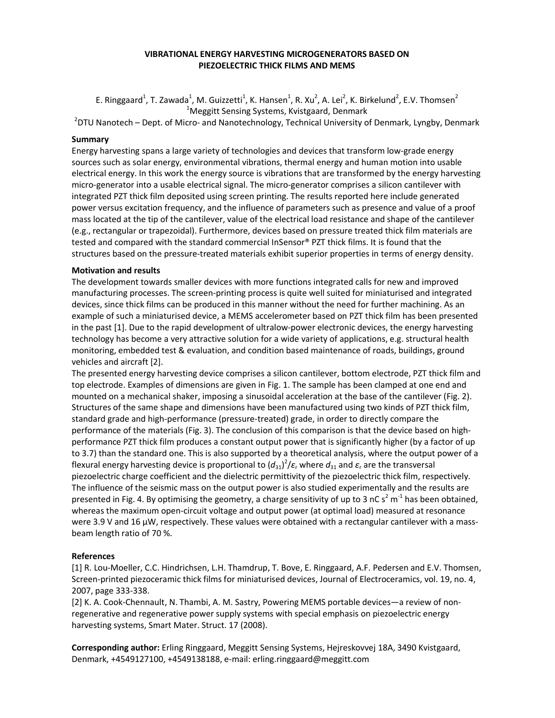## VIBRATIONAL ENERGY HARVESTING MICROGENERATORS BASED ON PIEZOELECTRIC THICK FILMS AND MEMS

E. Ringgaard<sup>1</sup>, T. Zawada<sup>1</sup>, M. Guizzetti<sup>1</sup>, K. Hansen<sup>1</sup>, R. Xu<sup>2</sup>, A. Lei<sup>2</sup>, K. Birkelund<sup>2</sup>, E.V. Thomsen<sup>2</sup> <sup>1</sup>Meggitt Sensing Systems, Kvistgaard, Denmark

<sup>2</sup>DTU Nanotech – Dept. of Micro- and Nanotechnology, Technical University of Denmark, Lyngby, Denmark

## Summary

Energy harvesting spans a large variety of technologies and devices that transform low-grade energy sources such as solar energy, environmental vibrations, thermal energy and human motion into usable electrical energy. In this work the energy source is vibrations that are transformed by the energy harvesting micro-generator into a usable electrical signal. The micro-generator comprises a silicon cantilever with integrated PZT thick film deposited using screen printing. The results reported here include generated power versus excitation frequency, and the influence of parameters such as presence and value of a proof mass located at the tip of the cantilever, value of the electrical load resistance and shape of the cantilever (e.g., rectangular or trapezoidal). Furthermore, devices based on pressure treated thick film materials are tested and compared with the standard commercial InSensor® PZT thick films. It is found that the structures based on the pressure-treated materials exhibit superior properties in terms of energy density.

## Motivation and results

The development towards smaller devices with more functions integrated calls for new and improved manufacturing processes. The screen-printing process is quite well suited for miniaturised and integrated devices, since thick films can be produced in this manner without the need for further machining. As an example of such a miniaturised device, a MEMS accelerometer based on PZT thick film has been presented in the past [1]. Due to the rapid development of ultralow-power electronic devices, the energy harvesting technology has become a very attractive solution for a wide variety of applications, e.g. structural health monitoring, embedded test & evaluation, and condition based maintenance of roads, buildings, ground vehicles and aircraft [2].

The presented energy harvesting device comprises a silicon cantilever, bottom electrode, PZT thick film and top electrode. Examples of dimensions are given in Fig. 1. The sample has been clamped at one end and mounted on a mechanical shaker, imposing a sinusoidal acceleration at the base of the cantilever (Fig. 2). Structures of the same shape and dimensions have been manufactured using two kinds of PZT thick film, standard grade and high-performance (pressure-treated) grade, in order to directly compare the performance of the materials (Fig. 3). The conclusion of this comparison is that the device based on highperformance PZT thick film produces a constant output power that is significantly higher (by a factor of up to 3.7) than the standard one. This is also supported by a theoretical analysis, where the output power of a flexural energy harvesting device is proportional to  $(d_{31})^2/\varepsilon_r$  where  $d_{31}$  and  $\varepsilon_r$  are the transversal piezoelectric charge coefficient and the dielectric permittivity of the piezoelectric thick film, respectively. The influence of the seismic mass on the output power is also studied experimentally and the results are presented in Fig. 4. By optimising the geometry, a charge sensitivity of up to 3 nC s<sup>2</sup> m<sup>-1</sup> has been obtained, whereas the maximum open-circuit voltage and output power (at optimal load) measured at resonance were 3.9 V and 16 µW, respectively. These values were obtained with a rectangular cantilever with a massbeam length ratio of 70 %.

## References

[1] R. Lou-Moeller, C.C. Hindrichsen, L.H. Thamdrup, T. Bove, E. Ringgaard, A.F. Pedersen and E.V. Thomsen, Screen-printed piezoceramic thick films for miniaturised devices, Journal of Electroceramics, vol. 19, no. 4, 2007, page 333-338.

[2] K. A. Cook-Chennault, N. Thambi, A. M. Sastry, Powering MEMS portable devices—a review of nonregenerative and regenerative power supply systems with special emphasis on piezoelectric energy harvesting systems, Smart Mater. Struct. 17 (2008).

Corresponding author: Erling Ringgaard, Meggitt Sensing Systems, Hejreskovvej 18A, 3490 Kvistgaard, Denmark, +4549127100, +4549138188, e-mail: erling.ringgaard@meggitt.com